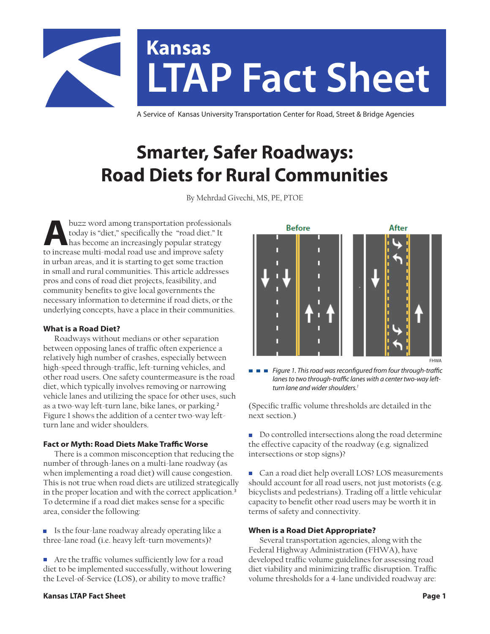

# **LTAP Fact Sheet Kansas**

A Service of Kansas University Transportation Center for Road, Street & Bridge Agencies

# **Smarter, Safer Roadways: Road Diets for Rural Communities**

By Mehrdad Givechi, MS, PE, PTOE

buzz word among transportation professionals<br>today is "diet," specifically the "road diet." It<br>has become an increasingly popular strategy<br>to increase multi-modal road use and improve safety. today is "diet," specifically the "road diet." It has become an increasingly popular strategy to increase multi-modal road use and improve safety in urban areas, and it is starting to get some traction in small and rural communities. This article addresses pros and cons of road diet projects, feasibility, and community benefits to give local governments the necessary information to determine if road diets, or the underlying concepts, have a place in their communities.

# **What is a Road Diet?**

 Roadways without medians or other separation between opposing lanes of traffic often experience a relatively high number of crashes, especially between high-speed through-traffic, left-turning vehicles, and other road users. One safety countermeasure is the road diet, which typically involves removing or narrowing vehicle lanes and utilizing the space for other uses, such as a two-way left-turn lane, bike lanes, or parking.<sup>2</sup> Figure 1 shows the addition of a center two-way leftturn lane and wider shoulders.

# **Fact or Myth: Road Diets Make Traffic Worse**

 There is a common misconception that reducing the number of through-lanes on a multi-lane roadway (as when implementing a road diet) will cause congestion. This is not true when road diets are utilized strategically in the proper location and with the correct application.<sup>3</sup> To determine if a road diet makes sense for a specific area, consider the following:

■ Is the four-lane roadway already operating like a three-lane road (i.e. heavy left-turn movements)?

■ Are the traffic volumes sufficiently low for a road diet to be implemented successfully, without lowering the Level-of-Service (LOS), or ability to move traffic?

# **Before** After FHWA

*Figure 1. This road was reconfigured from four through-traffic*  E E E *lanes to two through-traffic lanes with a center two-way leftturn lane and wider shoulders.1*

(Specific traffic volume thresholds are detailed in the next section.)

Do controlled intersections along the road determine the effective capacity of the roadway (e.g. signalized intersections or stop signs)?

■ Can a road diet help overall LOS? LOS measurements should account for all road users, not just motorists (e.g. bicyclists and pedestrians). Trading off a little vehicular capacity to benefit other road users may be worth it in terms of safety and connectivity.

# **When is a Road Diet Appropriate?**

 Several transportation agencies, along with the Federal Highway Administration (FHWA), have developed traffic volume guidelines for assessing road diet viability and minimizing traffic disruption. Traffic volume thresholds for a 4-lane undivided roadway are:

# **Kansas LTAP Fact Sheet Page 1**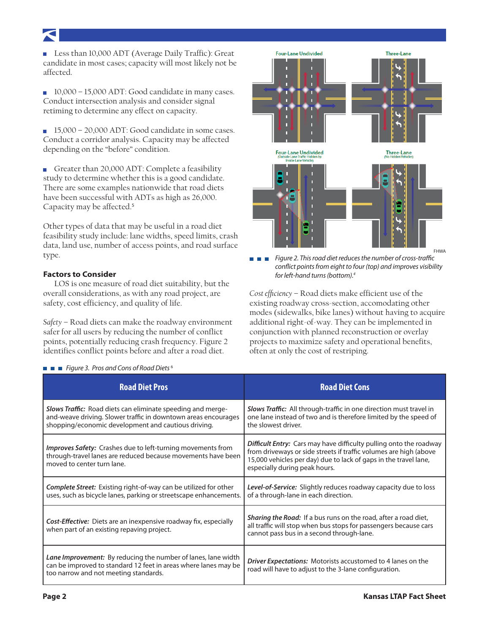**Less than 10,000 ADT (Average Daily Traffic): Great** candidate in most cases; capacity will most likely not be affected.

10,000 – 15,000 ADT: Good candidate in many cases. Conduct intersection analysis and consider signal retiming to determine any effect on capacity.

15,000 – 20,000 ADT: Good candidate in some cases. Conduct a corridor analysis. Capacity may be affected depending on the "before" condition.

Greater than 20,000 ADT: Complete a feasibility study to determine whether this is a good candidate. There are some examples nationwide that road diets have been successful with ADTs as high as 26,000. Capacity may be affected.<sup>5</sup>

Other types of data that may be useful in a road diet feasibility study include: lane widths, speed limits, crash data, land use, number of access points, and road surface type.

# **Factors to Consider**

 LOS is one measure of road diet suitability, but the overall considerations, as with any road project, are safety, cost efficiency, and quality of life.

*Safety* – Road diets can make the roadway environment safer for all users by reducing the number of conflict points, potentially reducing crash frequency. Figure 2 identifies conflict points before and after a road diet.



**Three-Lane** 

**Four-Lane Undivided** 

*Figure 2. This road diet reduces the number of cross-traffic*  - - *conflict points from eight to four (top) and improves visibility for left-hand turns (bottom).4*

FHWA

*Cost efficiency* – Road diets make efficient use of the existing roadway cross-section, accomodating other modes (sidewalks, bike lanes) without having to acquire additional right-of-way. They can be implemented in conjunction with planned reconstruction or overlay projects to maximize safety and operational benefits, often at only the cost of restriping.

| <b>Road Diet Pros</b>                                                                                                                                                                       | <b>Road Diet Cons</b>                                                                                                                                                                                                                               |
|---------------------------------------------------------------------------------------------------------------------------------------------------------------------------------------------|-----------------------------------------------------------------------------------------------------------------------------------------------------------------------------------------------------------------------------------------------------|
| <b>Slows Traffic:</b> Road diets can eliminate speeding and merge-<br>and-weave driving. Slower traffic in downtown areas encourages<br>shopping/economic development and cautious driving. | Slows Traffic: All through-traffic in one direction must travel in<br>one lane instead of two and is therefore limited by the speed of<br>the slowest driver.                                                                                       |
| <b>Improves Safety:</b> Crashes due to left-turning movements from<br>through-travel lanes are reduced because movements have been<br>moved to center turn lane.                            | <b>Difficult Entry:</b> Cars may have difficulty pulling onto the roadway<br>from driveways or side streets if traffic volumes are high (above<br>15,000 vehicles per day) due to lack of gaps in the travel lane,<br>especially during peak hours. |
| <b>Complete Street:</b> Existing right-of-way can be utilized for other<br>uses, such as bicycle lanes, parking or streetscape enhancements.                                                | <b>Level-of-Service:</b> Slightly reduces roadway capacity due to loss<br>of a through-lane in each direction.                                                                                                                                      |
| Cost-Effective: Diets are an inexpensive roadway fix, especially<br>when part of an existing repaving project.                                                                              | Sharing the Road: If a bus runs on the road, after a road diet,<br>all traffic will stop when bus stops for passengers because cars<br>cannot pass bus in a second through-lane.                                                                    |
| Lane Improvement: By reducing the number of lanes, lane width<br>can be improved to standard 12 feet in areas where lanes may be<br>too narrow and not meeting standards.                   | Driver Expectations: Motorists accustomed to 4 lanes on the<br>road will have to adjust to the 3-lane configuration.                                                                                                                                |

# *Figure 3. Pros and Cons of Road Diets* <sup>6</sup>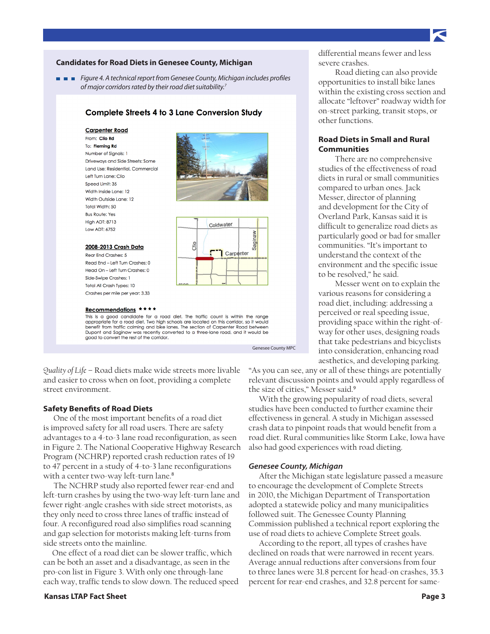# **Candidates for Road Diets in Genesee County, Michigan**

*Figure 4. A technical report from Genesee County, Michigan includes profiles of major corridors rated by their road diet suitability.7*

# **Complete Streets 4 to 3 Lane Conversion Study**

### **Carpenter Road**

From: Clio Rd To: Fleming Rd Number of Signals: 1 Driveways and Side Streets: Some Land Use: Residential, Commercial Left Turn Lane: Clin Speed Limit: 35 Width Inside Lane: 12 Width Outside Lane: 12 Total Width: 50 **Bus Route: Yes High ADT: 8713** Low ADT: 6752





# Recommendations \*\*\*\*

2008-2013 Crash Data

Rear End Crashes: 5 Read End - Left Turn Crashes: 0 Head On - Left Turn Crashes: 0 Side-Swipe Crashes: 1 **Total All Crash Types: 10** Crashes per mile per year: 3.33

This is a good candidate for a road diet. The traffic count is within the range appropriate for a road diet. Two high schools are located on this corridor, so it would benefit from traffic calming and bike lanes. The section of Carpenter Road between Dupont and Saginaw was recently converted to a three-lane road, and it would be good to convert the rest of the corridor.

Genesee County MPC

*Quality of Life* – Road diets make wide streets more livable and easier to cross when on foot, providing a complete street environment.

# **Safety Benefits of Road Diets**

One of the most important benefits of a road diet is improved safety for all road users. There are safety advantages to a 4-to-3 lane road reconfiguration, as seen in Figure 2. The National Cooperative Highway Research Program (NCHRP) reported crash reduction rates of 19 to 47 percent in a study of 4-to-3 lane reconfigurations with a center two-way left-turn lane.<sup>8</sup>

The NCHRP study also reported fewer rear-end and left-turn crashes by using the two-way left-turn lane and fewer right-angle crashes with side street motorists, as they only need to cross three lanes of traffic instead of four. A reconfigured road also simplifies road scanning and gap selection for motorists making left-turns from side streets onto the mainline.

 One effect of a road diet can be slower traffic, which can be both an asset and a disadvantage, as seen in the pro-con list in Figure 3. With only one through-lane each way, traffic tends to slow down. The reduced speed

# **Kansas LTAP Fact Sheet Page 3**

differential means fewer and less severe crashes.

Road dieting can also provide opportunities to install bike lanes within the existing cross section and allocate "leftover" roadway width for on-street parking, transit stops, or other functions.

# **Road Diets in Small and Rural Communities**

There are no comprehensive studies of the effectiveness of road diets in rural or small communities compared to urban ones. Jack Messer, director of planning and development for the City of Overland Park, Kansas said it is difficult to generalize road diets as particularly good or bad for smaller communities. "It's important to understand the context of the environment and the specific issue to be resolved," he said.

Messer went on to explain the various reasons for considering a road diet, including: addressing a perceived or real speeding issue, providing space within the right-ofway for other uses, designing roads that take pedestrians and bicyclists into consideration, enhancing road aesthetics, and developing parking.

"As you can see, any or all of these things are potentially relevant discussion points and would apply regardless of the size of cities," Messer said.<sup>9</sup>

With the growing popularity of road diets, several studies have been conducted to further examine their effectiveness in general. A study in Michigan assessed crash data to pinpoint roads that would benefit from a road diet. Rural communities like Storm Lake, Iowa have also had good experiences with road dieting.

# *Genesee County, Michigan*

After the Michigan state legislature passed a measure to encourage the development of Complete Streets in 2010, the Michigan Department of Transportation adopted a statewide policy and many municipalities followed suit. The Genessee County Planning Commission published a technical report exploring the use of road diets to achieve Complete Street goals.

According to the report, all types of crashes have declined on roads that were narrowed in recent years. Average annual reductions after conversions from four to three lanes were 31.8 percent for head-on crashes, 35.3 percent for rear-end crashes, and 32.8 percent for same-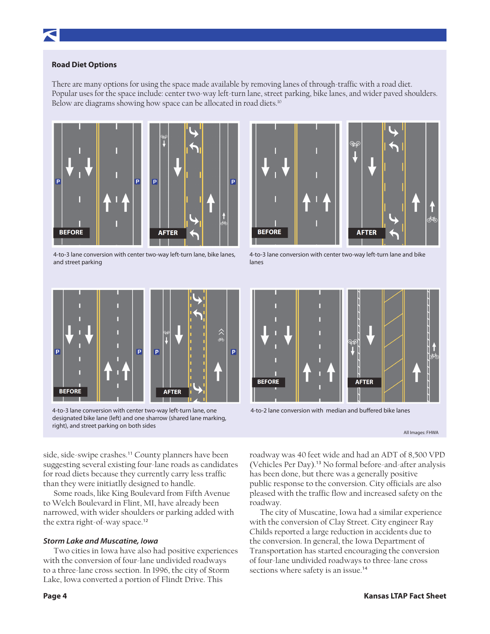# **Road Diet Options**

There are many options for using the space made available by removing lanes of through-traffic with a road diet. Popular uses for the space include: center two-way left-turn lane, street parking, bike lanes, and wider paved shoulders. Below are diagrams showing how space can be allocated in road diets.<sup>10</sup>



4-to-3 lane conversion with center two-way left-turn lane, bike lanes, and street parking



4-to-3 lane conversion with center two-way left-turn lane and bike lanes



4-to-3 lane conversion with center two-way left-turn lane, one designated bike lane (left) and one sharrow (shared lane marking, right), and street parking on both sides



4-to-2 lane conversion with median and buffered bike lanes

All Images: FHWA

side, side-swipe crashes.<sup>11</sup> County planners have been suggesting several existing four-lane roads as candidates for road diets because they currently carry less traffic than they were initiatlly designed to handle.

Some roads, like King Boulevard from Fifth Avenue to Welch Boulevard in Flint, MI, have already been narrowed, with wider shoulders or parking added with the extra right-of-way space.<sup>12</sup>

# *Storm Lake and Muscatine, Iowa*

Two cities in Iowa have also had positive experiences with the conversion of four-lane undivided roadways to a three-lane cross section. In 1996, the city of Storm Lake, Iowa converted a portion of Flindt Drive. This

roadway was 40 feet wide and had an ADT of 8,500 VPD (Vehicles Per Day).13 No formal before-and-after analysis has been done, but there was a generally positive public response to the conversion. City officials are also pleased with the traffic flow and increased safety on the roadway.

The city of Muscatine, Iowa had a similar experience with the conversion of Clay Street. City engineer Ray Childs reported a large reduction in accidents due to the conversion. In general, the Iowa Department of Transportation has started encouraging the conversion of four-lane undivided roadways to three-lane cross sections where safety is an issue.<sup>14</sup>